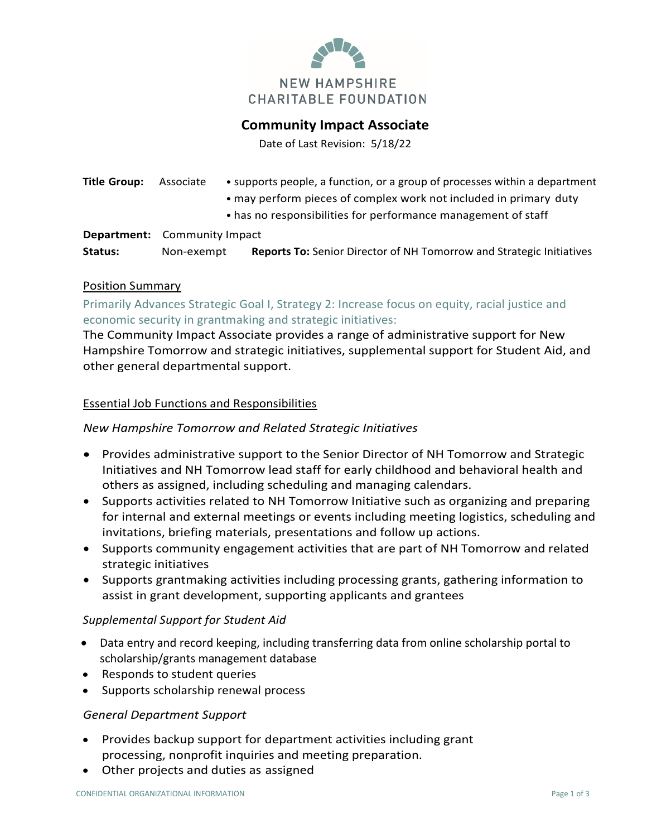

# **Community Impact Associate**

Date of Last Revision: 5/18/22

| Title Group: | Associate                           | • supports people, a function, or a group of processes within a department<br>• may perform pieces of complex work not included in primary duty<br>• has no responsibilities for performance management of staff |
|--------------|-------------------------------------|------------------------------------------------------------------------------------------------------------------------------------------------------------------------------------------------------------------|
|              | <b>Department:</b> Community Impact |                                                                                                                                                                                                                  |
| Status:      | Non-exempt                          | <b>Reports To:</b> Senior Director of NH Tomorrow and Strategic Initiatives                                                                                                                                      |

#### Position Summary

Primarily Advances Strategic Goal I, Strategy 2: Increase focus on equity, racial justice and economic security in grantmaking and strategic initiatives:

The Community Impact Associate provides a range of administrative support for New Hampshire Tomorrow and strategic initiatives, supplemental support for Student Aid, and other general departmental support.

#### Essential Job Functions and Responsibilities

## *New Hampshire Tomorrow and Related Strategic Initiatives*

- Provides administrative support to the Senior Director of NH Tomorrow and Strategic Initiatives and NH Tomorrow lead staff for early childhood and behavioral health and others as assigned, including scheduling and managing calendars.
- Supports activities related to NH Tomorrow Initiative such as organizing and preparing for internal and external meetings or events including meeting logistics, scheduling and invitations, briefing materials, presentations and follow up actions.
- Supports community engagement activities that are part of NH Tomorrow and related strategic initiatives
- Supports grantmaking activities including processing grants, gathering information to assist in grant development, supporting applicants and grantees

## *Supplemental Support for Student Aid*

- Data entry and record keeping, including transferring data from online scholarship portal to scholarship/grants management database
- Responds to student queries
- Supports scholarship renewal process

## *General Department Support*

- Provides backup support for department activities including grant processing, nonprofit inquiries and meeting preparation.
- Other projects and duties as assigned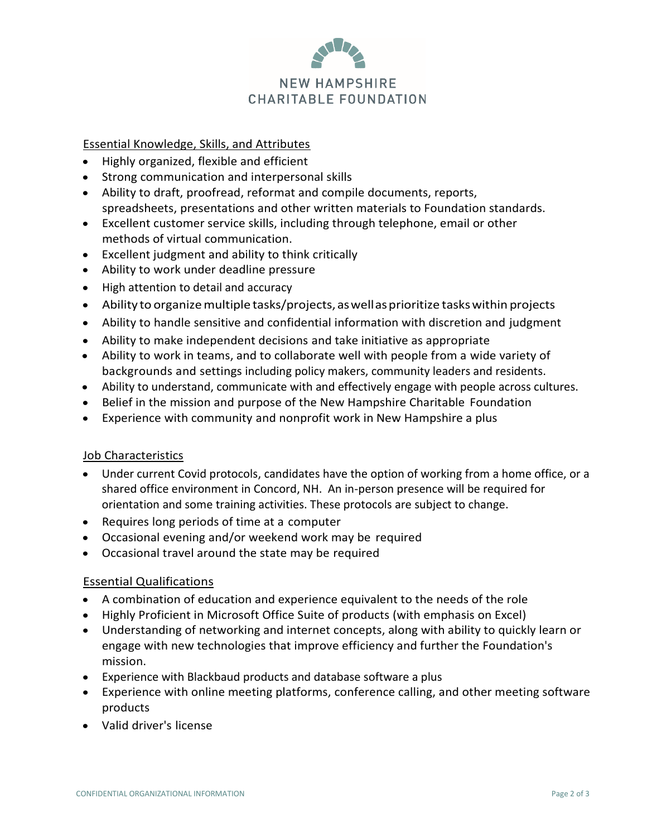

## Essential Knowledge, Skills, and Attributes

- Highly organized, flexible and efficient
- Strong communication and interpersonal skills
- Ability to draft, proofread, reformat and compile documents, reports, spreadsheets, presentations and other written materials to Foundation standards.
- Excellent customer service skills, including through telephone, email or other methods of virtual communication.
- Excellent judgment and ability to think critically
- Ability to work under deadline pressure
- High attention to detail and accuracy
- Ability to organize multiple tasks/projects, as well as prioritize tasks within projects
- Ability to handle sensitive and confidential information with discretion and judgment
- Ability to make independent decisions and take initiative as appropriate
- Ability to work in teams, and to collaborate well with people from a wide variety of backgrounds and settings including policy makers, community leaders and residents.
- Ability to understand, communicate with and effectively engage with people across cultures.
- Belief in the mission and purpose of the New Hampshire Charitable Foundation
- Experience with community and nonprofit work in New Hampshire a plus

## Job Characteristics

- Under current Covid protocols, candidates have the option of working from a home office, or a shared office environment in Concord, NH. An in-person presence will be required for orientation and some training activities. These protocols are subject to change.
- Requires long periods of time at a computer
- Occasional evening and/or weekend work may be required
- Occasional travel around the state may be required

## Essential Qualifications

- A combination of education and experience equivalent to the needs of the role
- Highly Proficient in Microsoft Office Suite of products (with emphasis on Excel)
- Understanding of networking and internet concepts, along with ability to quickly learn or engage with new technologies that improve efficiency and further the Foundation's mission.
- Experience with Blackbaud products and database software a plus
- Experience with online meeting platforms, conference calling, and other meeting software products
- Valid driver's license